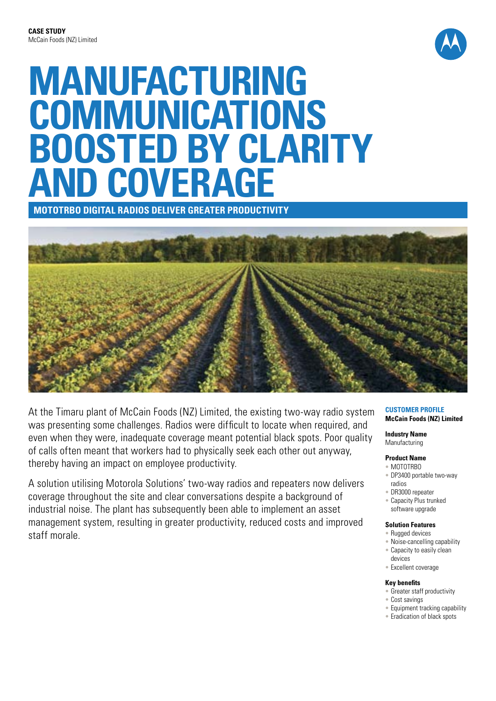

# **MANUFACTURING COMMUNICATIONS BOOSTED BY CLARITY AND COVERAGE**

**MOTOTRBO Digital Radios DELIVER GREATER PRODUCTIVITY**



At the Timaru plant of McCain Foods (NZ) Limited, the existing two-way radio system was presenting some challenges. Radios were difficult to locate when required, and even when they were, inadequate coverage meant potential black spots. Poor quality of calls often meant that workers had to physically seek each other out anyway, thereby having an impact on employee productivity.

A solution utilising Motorola Solutions' two-way radios and repeaters now delivers coverage throughout the site and clear conversations despite a background of industrial noise. The plant has subsequently been able to implement an asset management system, resulting in greater productivity, reduced costs and improved staff morale.

#### **Customer Profile McCain Foods (NZ) Limited**

**Industry Name** Manufacturing

### **Product Name**

- MOTOTRBO
- DP3400 portable two-way radios
- DR3000 repeater
- Capacity Plus trunked software upgrade

#### **Solution Features**

- Rugged devices
- Noise-cancelling capability
- Capacity to easily clean
- devices
- Excellent coverage

#### **Key benefits**

- Greater staff productivity
- Cost savings
- Equipment tracking capability
- Eradication of black spots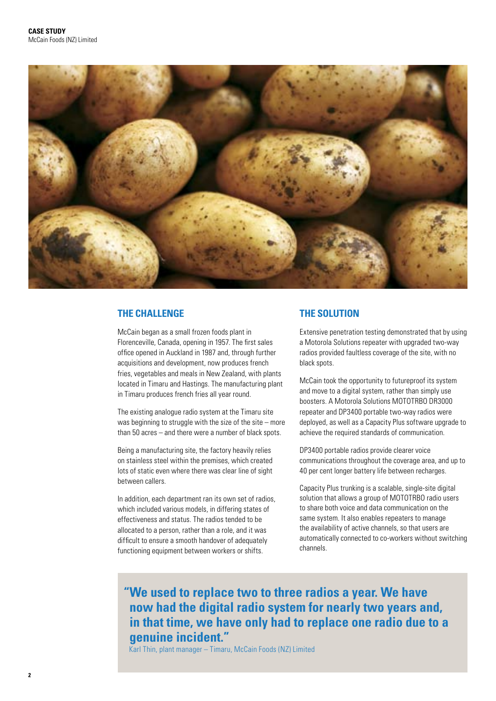

## **THE CHALLENGE**

McCain began as a small frozen foods plant in Florenceville, Canada, opening in 1957. The first sales office opened in Auckland in 1987 and, through further acquisitions and development, now produces french fries, vegetables and meals in New Zealand, with plants located in Timaru and Hastings. The manufacturing plant in Timaru produces french fries all year round.

The existing analogue radio system at the Timaru site was beginning to struggle with the size of the site – more than 50 acres – and there were a number of black spots.

Being a manufacturing site, the factory heavily relies on stainless steel within the premises, which created lots of static even where there was clear line of sight between callers.

In addition, each department ran its own set of radios, which included various models, in differing states of effectiveness and status. The radios tended to be allocated to a person, rather than a role, and it was difficult to ensure a smooth handover of adequately functioning equipment between workers or shifts.

## **THE SOLUTION**

Extensive penetration testing demonstrated that by using a Motorola Solutions repeater with upgraded two-way radios provided faultless coverage of the site, with no black spots.

McCain took the opportunity to futureproof its system and move to a digital system, rather than simply use boosters. A Motorola Solutions MOTOTRBO DR3000 repeater and DP3400 portable two-way radios were deployed, as well as a Capacity Plus software upgrade to achieve the required standards of communication.

DP3400 portable radios provide clearer voice communications throughout the coverage area, and up to 40 per cent longer battery life between recharges.

Capacity Plus trunking is a scalable, single-site digital solution that allows a group of MOTOTRBO radio users to share both voice and data communication on the same system. It also enables repeaters to manage the availability of active channels, so that users are automatically connected to co-workers without switching channels.

**"We used to replace two to three radios a year. We have now had the digital radio system for nearly two years and, in that time, we have only had to replace one radio due to a genuine incident."**

Karl Thin, plant manager – Timaru, McCain Foods (NZ) Limited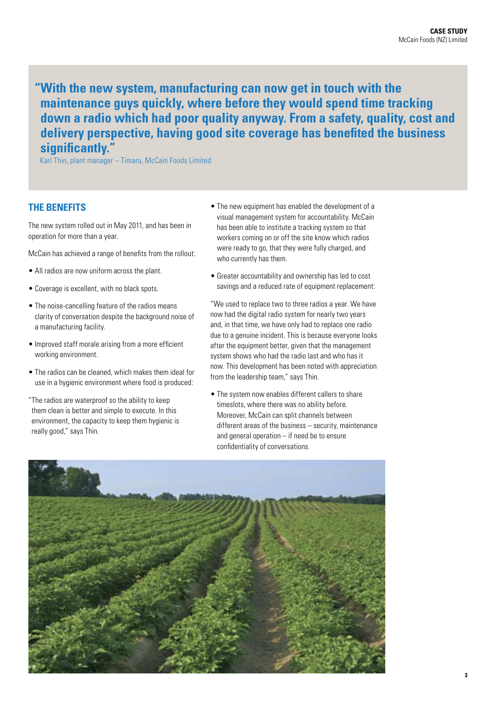**"With the new system, manufacturing can now get in touch with the maintenance guys quickly, where before they would spend time tracking down a radio which had poor quality anyway. From a safety, quality, cost and delivery perspective, having good site coverage has benefited the business significantly."**

Karl Thin, plant manager – Timaru, McCain Foods Limited

## **THE BENEFITS**

The new system rolled out in May 2011, and has been in operation for more than a year.

McCain has achieved a range of benefits from the rollout:

- All radios are now uniform across the plant.
- Coverage is excellent, with no black spots.
- The noise-cancelling feature of the radios means clarity of conversation despite the background noise of a manufacturing facility.
- Improved staff morale arising from a more efficient working environment.
- The radios can be cleaned, which makes them ideal for use in a hygienic environment where food is produced:
- "The radios are waterproof so the ability to keep them clean is better and simple to execute. In this environment, the capacity to keep them hygienic is really good," says Thin.
- The new equipment has enabled the development of a visual management system for accountability. McCain has been able to institute a tracking system so that workers coming on or off the site know which radios were ready to go, that they were fully charged, and who currently has them.
- Greater accountability and ownership has led to cost savings and a reduced rate of equipment replacement:

"We used to replace two to three radios a year. We have now had the digital radio system for nearly two years and, in that time, we have only had to replace one radio due to a genuine incident. This is because everyone looks after the equipment better, given that the management system shows who had the radio last and who has it now. This development has been noted with appreciation from the leadership team," says Thin.

• The system now enables different callers to share timeslots, where there was no ability before. Moreover, McCain can split channels between different areas of the business – security, maintenance and general operation – if need be to ensure confidentiality of conversations.